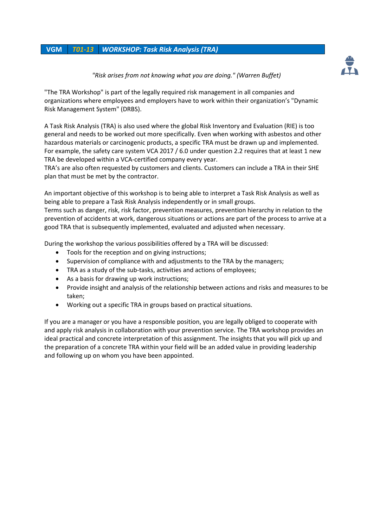## **VGM** *T01-13 WORKSHOP: Task Risk Analysis (TRA)*



## *"Risk arises from not knowing what you are doing." (Warren Buffet)*

"The TRA Workshop" is part of the legally required risk management in all companies and organizations where employees and employers have to work within their organization's "Dynamic Risk Management System" (DRBS).

A Task Risk Analysis (TRA) is also used where the global Risk Inventory and Evaluation (RIE) is too general and needs to be worked out more specifically. Even when working with asbestos and other hazardous materials or carcinogenic products, a specific TRA must be drawn up and implemented. For example, the safety care system VCA 2017 / 6.0 under question 2.2 requires that at least 1 new TRA be developed within a VCA-certified company every year.

TRA's are also often requested by customers and clients. Customers can include a TRA in their SHE plan that must be met by the contractor.

An important objective of this workshop is to being able to interpret a Task Risk Analysis as well as being able to prepare a Task Risk Analysis independently or in small groups.

Terms such as danger, risk, risk factor, prevention measures, prevention hierarchy in relation to the prevention of accidents at work, dangerous situations or actions are part of the process to arrive at a good TRA that is subsequently implemented, evaluated and adjusted when necessary.

During the workshop the various possibilities offered by a TRA will be discussed:

- Tools for the reception and on giving instructions;
- Supervision of compliance with and adjustments to the TRA by the managers;
- TRA as a study of the sub-tasks, activities and actions of employees;
- As a basis for drawing up work instructions;
- Provide insight and analysis of the relationship between actions and risks and measures to be taken;
- Working out a specific TRA in groups based on practical situations.

If you are a manager or you have a responsible position, you are legally obliged to cooperate with and apply risk analysis in collaboration with your prevention service. The TRA workshop provides an ideal practical and concrete interpretation of this assignment. The insights that you will pick up and the preparation of a concrete TRA within your field will be an added value in providing leadership and following up on whom you have been appointed.